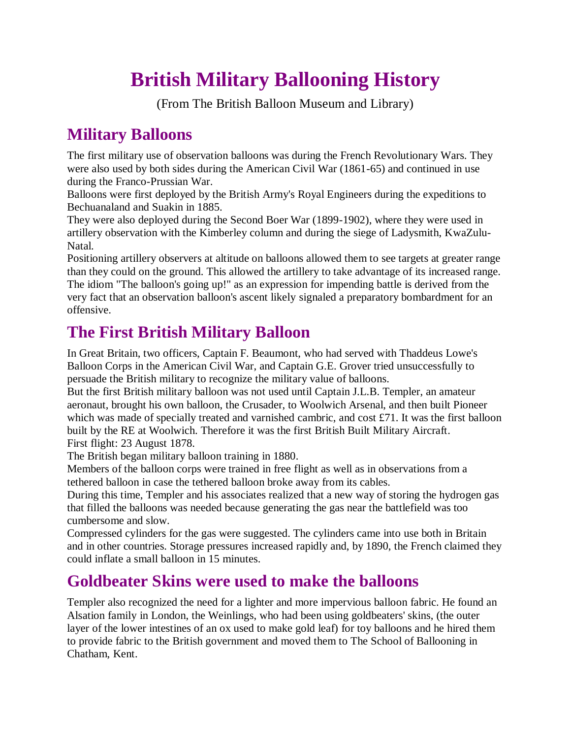# **British Military Ballooning History**

(From The British Balloon Museum and Library)

## **Military Balloons**

The first military use of observation balloons was during the French Revolutionary Wars. They were also used by both sides during the American Civil War (1861-65) and continued in use during the Franco-Prussian War.

Balloons were first deployed by the British Army's Royal Engineers during the expeditions to Bechuanaland and Suakin in 1885.

They were also deployed during the Second Boer War (1899-1902), where they were used in artillery observation with the Kimberley column and during the siege of Ladysmith, KwaZulu-Natal.

Positioning artillery observers at altitude on balloons allowed them to see targets at greater range than they could on the ground. This allowed the artillery to take advantage of its increased range. The idiom "The balloon's going up!" as an expression for impending battle is derived from the very fact that an observation balloon's ascent likely signaled a preparatory bombardment for an offensive.

# **The First British Military Balloon**

In Great Britain, two officers, Captain F. Beaumont, who had served with Thaddeus Lowe's Balloon Corps in the American Civil War, and Captain G.E. Grover tried unsuccessfully to persuade the British military to recognize the military value of balloons.

But the first British military balloon was not used until Captain J.L.B. Templer, an amateur aeronaut, brought his own balloon, the Crusader, to Woolwich Arsenal, and then built Pioneer which was made of specially treated and varnished cambric, and cost £71. It was the first balloon built by the RE at Woolwich. Therefore it was the first British Built Military Aircraft. First flight: 23 August 1878.

The British began military balloon training in 1880.

Members of the balloon corps were trained in free flight as well as in observations from a tethered balloon in case the tethered balloon broke away from its cables.

During this time, Templer and his associates realized that a new way of storing the hydrogen gas that filled the balloons was needed because generating the gas near the battlefield was too cumbersome and slow.

Compressed cylinders for the gas were suggested. The cylinders came into use both in Britain and in other countries. Storage pressures increased rapidly and, by 1890, the French claimed they could inflate a small balloon in 15 minutes.

## **Goldbeater Skins were used to make the balloons**

Templer also recognized the need for a lighter and more impervious balloon fabric. He found an Alsation family in London, the Weinlings, who had been using goldbeaters' skins, (the outer layer of the lower intestines of an ox used to make gold leaf) for toy balloons and he hired them to provide fabric to the British government and moved them to The School of Ballooning in Chatham, Kent.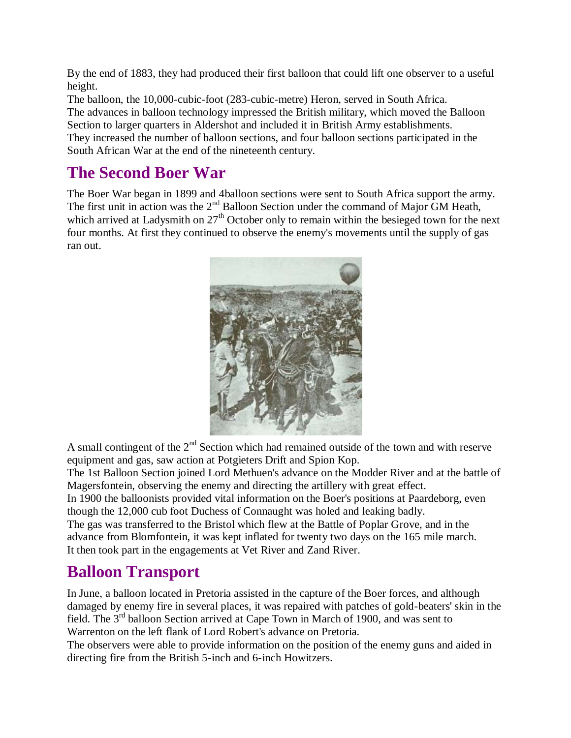By the end of 1883, they had produced their first balloon that could lift one observer to a useful height.

The balloon, the 10,000-cubic-foot (283-cubic-metre) Heron, served in South Africa. The advances in balloon technology impressed the British military, which moved the Balloon Section to larger quarters in Aldershot and included it in British Army establishments. They increased the number of balloon sections, and four balloon sections participated in the South African War at the end of the nineteenth century.

#### **The Second Boer War**

The Boer War began in 1899 and 4balloon sections were sent to South Africa support the army. The first unit in action was the 2<sup>nd</sup> Balloon Section under the command of Major GM Heath, which arrived at Ladysmith on  $27<sup>th</sup>$  October only to remain within the besieged town for the next four months. At first they continued to observe the enemy's movements until the supply of gas ran out.



A small contingent of the  $2<sup>nd</sup>$  Section which had remained outside of the town and with reserve equipment and gas, saw action at Potgieters Drift and Spion Kop.

The 1st Balloon Section joined Lord Methuen's advance on the Modder River and at the battle of Magersfontein, observing the enemy and directing the artillery with great effect.

In 1900 the balloonists provided vital information on the Boer's positions at Paardeborg, even though the 12,000 cub foot Duchess of Connaught was holed and leaking badly.

The gas was transferred to the Bristol which flew at the Battle of Poplar Grove, and in the advance from Blomfontein, it was kept inflated for twenty two days on the 165 mile march. It then took part in the engagements at Vet River and Zand River.

## **Balloon Transport**

In June, a balloon located in Pretoria assisted in the capture of the Boer forces, and although damaged by enemy fire in several places, it was repaired with patches of gold-beaters' skin in the field. The 3rd balloon Section arrived at Cape Town in March of 1900, and was sent to Warrenton on the left flank of Lord Robert's advance on Pretoria.

The observers were able to provide information on the position of the enemy guns and aided in directing fire from the British 5-inch and 6-inch Howitzers.